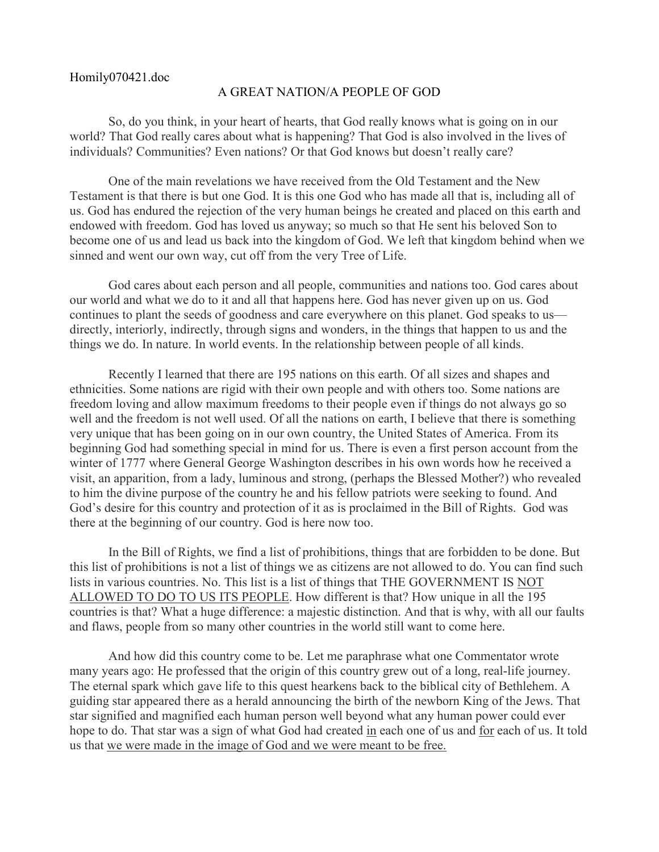## Homily070421.doc

## A GREAT NATION/A PEOPLE OF GOD

So, do you think, in your heart of hearts, that God really knows what is going on in our world? That God really cares about what is happening? That God is also involved in the lives of individuals? Communities? Even nations? Or that God knows but doesn't really care?

One of the main revelations we have received from the Old Testament and the New Testament is that there is but one God. It is this one God who has made all that is, including all of us. God has endured the rejection of the very human beings he created and placed on this earth and endowed with freedom. God has loved us anyway; so much so that He sent his beloved Son to become one of us and lead us back into the kingdom of God. We left that kingdom behind when we sinned and went our own way, cut off from the very Tree of Life.

God cares about each person and all people, communities and nations too. God cares about our world and what we do to it and all that happens here. God has never given up on us. God continues to plant the seeds of goodness and care everywhere on this planet. God speaks to us directly, interiorly, indirectly, through signs and wonders, in the things that happen to us and the things we do. In nature. In world events. In the relationship between people of all kinds.

Recently I learned that there are 195 nations on this earth. Of all sizes and shapes and ethnicities. Some nations are rigid with their own people and with others too. Some nations are freedom loving and allow maximum freedoms to their people even if things do not always go so well and the freedom is not well used. Of all the nations on earth, I believe that there is something very unique that has been going on in our own country, the United States of America. From its beginning God had something special in mind for us. There is even a first person account from the winter of 1777 where General George Washington describes in his own words how he received a visit, an apparition, from a lady, luminous and strong, (perhaps the Blessed Mother?) who revealed to him the divine purpose of the country he and his fellow patriots were seeking to found. And God's desire for this country and protection of it as is proclaimed in the Bill of Rights. God was there at the beginning of our country. God is here now too.

In the Bill of Rights, we find a list of prohibitions, things that are forbidden to be done. But this list of prohibitions is not a list of things we as citizens are not allowed to do. You can find such lists in various countries. No. This list is a list of things that THE GOVERNMENT IS NOT ALLOWED TO DO TO US ITS PEOPLE. How different is that? How unique in all the 195 countries is that? What a huge difference: a majestic distinction. And that is why, with all our faults and flaws, people from so many other countries in the world still want to come here.

And how did this country come to be. Let me paraphrase what one Commentator wrote many years ago: He professed that the origin of this country grew out of a long, real-life journey. The eternal spark which gave life to this quest hearkens back to the biblical city of Bethlehem. A guiding star appeared there as a herald announcing the birth of the newborn King of the Jews. That star signified and magnified each human person well beyond what any human power could ever hope to do. That star was a sign of what God had created in each one of us and for each of us. It told us that we were made in the image of God and we were meant to be free.